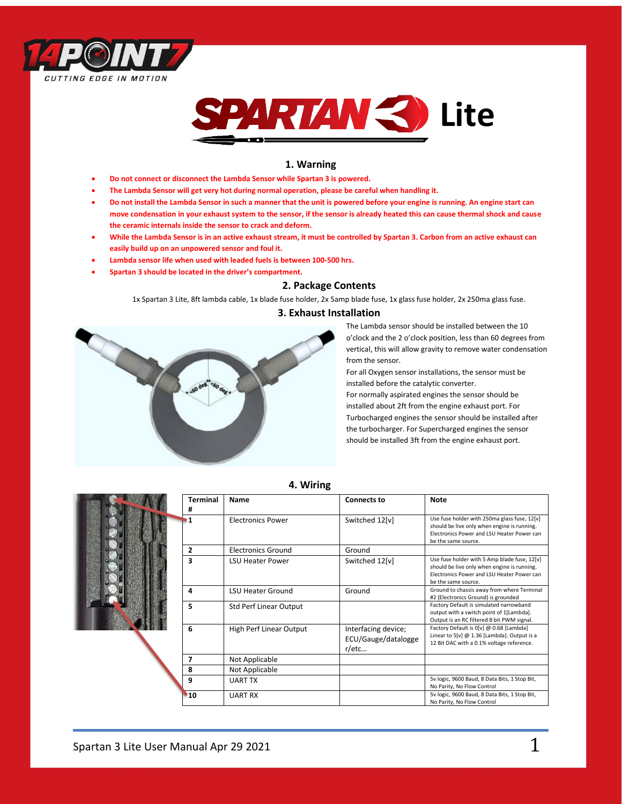



## **1. Warning**

- **Do not connect or disconnect the Lambda Sensor while Spartan 3 is powered.**
- **The Lambda Sensor will get very hot during normal operation, please be careful when handling it.**
- **Do not install the Lambda Sensor in such a manner that the unit is powered before your engine is running. An engine start can move condensation in your exhaust system to the sensor, if the sensor is already heated this can cause thermal shock and cause the ceramic internals inside the sensor to crack and deform.**
- **While the Lambda Sensor is in an active exhaust stream, it must be controlled by Spartan 3. Carbon from an active exhaust can easily build up on an unpowered sensor and foul it.**
- **Lambda sensor life when used with leaded fuels is between 100-500 hrs.**
- **Spartan 3 should be located in the driver's compartment.**

## **2. Package Contents**

1x Spartan 3 Lite, 8ft lambda cable, 1x blade fuse holder, 2x 5amp blade fuse, 1x glass fuse holder, 2x 250ma glass fuse.

# **3. Exhaust Installation**



The Lambda sensor should be installed between the 10 o'clock and the 2 o'clock position, less than 60 degrees from vertical, this will allow gravity to remove water condensation from the sensor.

For all Oxygen sensor installations, the sensor must be installed before the catalytic converter.

For normally aspirated engines the sensor should be installed about 2ft from the engine exhaust port. For Turbocharged engines the sensor should be installed after the turbocharger. For Supercharged engines the sensor should be installed 3ft from the engine exhaust port.

|  | <b>Terminal</b><br># | Name                          | <b>Connects to</b>                                  | <b>Note</b>                                                                                                                                                      |
|--|----------------------|-------------------------------|-----------------------------------------------------|------------------------------------------------------------------------------------------------------------------------------------------------------------------|
|  | 1                    | <b>Electronics Power</b>      | Switched 12[v]                                      | Use fuse holder with 250ma glass fuse, 12[v]<br>should be live only when engine is running.<br>Electronics Power and LSU Heater Power can<br>be the same source. |
|  | 2                    | <b>Electronics Ground</b>     | Ground                                              |                                                                                                                                                                  |
|  | 3                    | <b>LSU Heater Power</b>       | Switched 12[v]                                      | Use fuse holder with 5 Amp blade fuse, 12[v]<br>should be live only when engine is running.<br>Electronics Power and LSU Heater Power can<br>be the same source. |
|  | 4                    | <b>LSU Heater Ground</b>      | Ground                                              | Ground to chassis away from where Terminal<br>#2 (Electronics Ground) is grounded                                                                                |
|  | 5                    | <b>Std Perf Linear Output</b> |                                                     | Factory Default is simulated narrowband<br>output with a switch point of 1[Lambda].<br>Output is an RC filtered 8 bit PWM signal.                                |
|  | 6                    | High Perf Linear Output       | Interfacing device;<br>ECU/Gauge/datalogge<br>r/etc | Factory Default is 0[v] @ 0.68 [Lambda]<br>Linear to 5[v] @ 1.36 [Lambda]. Output is a<br>12 Bit DAC with a 0.1% voltage reference.                              |
|  | 7                    | Not Applicable                |                                                     |                                                                                                                                                                  |
|  | 8                    | Not Applicable                |                                                     |                                                                                                                                                                  |
|  | 9                    | <b>UART TX</b>                |                                                     | 5v logic, 9600 Baud, 8 Data Bits, 1 Stop Bit,<br>No Parity, No Flow Control                                                                                      |
|  | 10                   | <b>UART RX</b>                |                                                     | 5v logic, 9600 Baud, 8 Data Bits, 1 Stop Bit,<br>No Parity, No Flow Control                                                                                      |

 **4. Wiring**